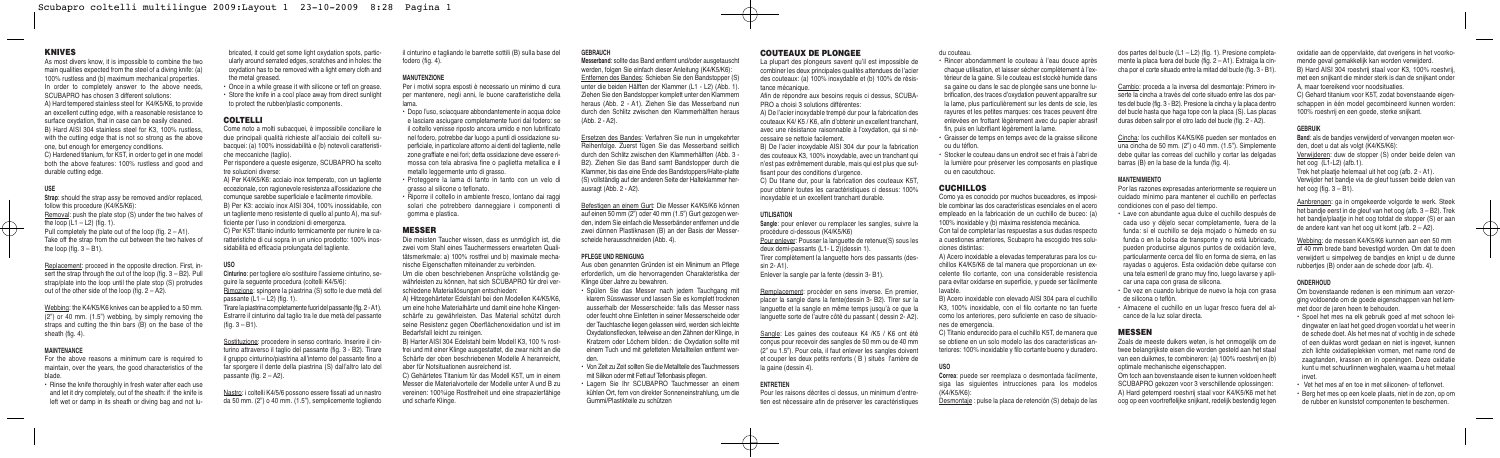oxidatie aan de oppervlakte, dat overigens in het voorkomende geval gemakkelijk kan worden verwijderd.

B) Hard AISI 304 roestvrij staal voor K3, 100% roestvrij, met een snijkant die minder sterk is dan de snijkant onder A, maar toereikend voor noodsituaties.

C) Gehard titanium voor K5T, zodat bovenstaande eigenschappen in één model gecombineerd kunnen worden: 100% roestvrij en een goede, sterke snijkant.

**Band**: als de bandjes verwijderd of vervangen moeten worden, doet u dat als volgt (K4/K5/K6):

#### **GEBRUIK**

Webbing: de messen K4/K5/K6 kunnen aan een 50 mm of 40 mm brede band bevestigd worden. Om dat te doen verwijdert u simpelweg de bandjes en knipt u de dunne rubberties (B) onder aan de schede door (afb. 4).

# **ONDERHOUD**

Verwijderen: duw de stopper (S) onder beide delen van het oog (L1-L2) (afb.1).

Trek het plaatje helemaal uit het oog (afb. 2 - A1). Verwijder het bandje via de gleuf tussen beide delen van het oog (fig. 3 – B1).

Aanbrengen: ga in omgekeerde volgorde te werk. Steek het bandje eerst in de gleuf van het oog (afb. 3 – B2). Trek het bandie/plaatie in het oog totdat de stopper (S) er aan de andere kant van het oog uit komt (afb. 2 – A2).

Om bovenstaande redenen is een minimum aan verzorging voldoende om de goede eigenschappen van het lemmet door de jaren heen te behouden.

- Spoel het mes na elk gebruik goed af met schoon leidingwater en laat het goed drogen voordat u het weer in de schede doet. Als het mes nat of vochtig in de schede of een duiktas wordt gedaan en niet is ingevet, kunnen zich lichte oxidatieplekken vormen, met name rond de zaagtanden, krassen en in openingen. Deze oxidatie kunt u met schuurlinnen weghalen, waarna u het metaal invet.
- Vet het mes af en toe in met siliconen- of teflonvet.
- Berg het mes op een koele plaats, niet in de zon, op om de rubber en kunststof componenten te beschermen.

dos partes del bucle (L1 – L2) (fig. 1). Presione completamente la placa fuera del bucle (fig. 2 – A1). Extraiga la cincha por el corte situado entre la mitad del bucle (fig. 3 - B1).

Cambio: proceda a la inversa del desmontaje: Primero inserte la cincha a través del corte situado entre las dos partes del bucle (fig. 3 - B2). Presione la cincha y la placa dentro del bucle hasta que haga tope con la placa (S). Las placas duras deben salir por el otro lado del bucle (fig. 2 - A2).

Cincha: los cuchillos K4/K5/K6 pueden ser montados en una cincha de 50 mm. (2") o 40 mm. (1.5"). Simplemente debe quitar las correas del cuchillo y cortar las delgadas barras (B) en la base de la funda (fig. 4).

## **MANTENIMIENTO**

Por las razones expresadas anteriormente se requiere un cuidado mínimo para mantener el cuchillo en perfectas condiciones con el paso del tiempo.

• Lave con abundante agua dulce el cuchillo después de cada uso y déjelo secar completamente, fuera de la funda: si el cuchillo se deja mojado o húmedo en su funda o en la bolsa de transporte y no está lubricado, pueden producirse algunos puntos de oxidación leve, particularmente cerca del filo en forma de sierra, en las rayadas o agujeros. Esta oxidación debe quitarse con una tela esmeril de grano muy fino, luego lavarse y aplicar una capa con grasa de silicona.

Afin de répondre aux besoins requis ci dessus, SCUBA-PRO a choisi 3 solutions différentes:

> • De vez en cuando lubrique de nuevo la hoja con grasa de silicona o teflón.

• Almacene el cuchillo en un lugar fresco fuera del alcance de la luz solar directa.

# **MESSEN**

Zoals de meeste duikers weten, is het onmogelijk om de twee belangrijkste eisen die worden gesteld aan het staal van een duikmes, te combineren: (a) 100% roestvrij en (b) optimale mechanische eigenschappen.

Om toch aan bovenstaande eisen te kunnen voldoen heeft SCUBAPRO gekozen voor 3 verschillende oplossingen:

A) Hard getemperd roestvrij staal voor K4/K5/K6 met het oog op een voortreffelijke snijkant, redelijk bestendig tegen

du couteau.

• Rincer abondamment le couteau à l'eau douce après chaque utilisation, et laisser sécher complètement à l'extérieur de la gaine. Si le couteau est stocké humide dans sa gaine ou dans le sac de plongée sans une bonne lubrification, des traces d'oxydation peuvent apparaître sur la lame, plus particulièrement sur les dents de scie, les rayures et les petites marques: ces traces peuvent être enlevées en frottant légèrement avec du papier abrasif fin, puis en lubrifiant légèrement la lame.

• Graisser de temps en temps avec de la graisse silicone

ou du téflon. • Stocker le couteau dans un endroit sec et frais à l'abri de la lumière pour préserver les composants en plastique ou en caoutchouc.

# **CUCHILLOS**

Como ya es conocido por muchos buceadores, es imposible combinar las dos características esenciales en el acero empleado en la fabricación de un cuchillo de buceo: (a) 100% inoxidable y (b) máxima resistencia mecánica.

Con tal de completar las respuestas a sus dudas respecto a cuestiones anteriores, Scubapro ha escogido tres soluciones distintas:

A) Acero inoxidable a elevadas temperaturas para los cuchillos K4/K5/K6 de tal manera que proporcionan un excelente filo cortante, con una considerable resistencia para evitar oxidarse en superficie, y puede ser fácilmente lavable.

B) Acero inoxidable con elevado AISI 304 para el cuchillo K3, 100% inoxidable, con el filo cortante no tan fuerte como los anteriores, pero suficiente en caso de situaciones de emergencia.

C) Titanio endurecido para el cuchillo K5T, de manera que se obtiene en un solo modelo las dos características anteriores: 100% inoxidable y filo cortante bueno y duradero.

**USO**

**Correa**: puede ser reemplaza o desmontada fácilmente, siga las siguientes intrucciones para los modelos (K4/K5/K6):

Desmontaje : pulse la placa de retención (S) debajo de las

#### **COUTEAUX DE PLONGEE**

La plupart des plongeurs savent qu'il est impossible de combiner les deux principales qualités attendues de l'acier des couteaux: (a) 100% inoxydable et (b) 100% de résistance mécanique.

A) Per K4/K5/K6: acciaio inox temperato, con un tagliente eccezionale, con ragionevole resistenza all'ossidazione che comunque sarebbe superficiale e facilmente rimovibile. B) Per K3: acciaio inox AISI 304, 100% inossidabile, con un tagliente meno resistente di quello al punto A), ma sufficiente per l'uso in condizioni di emergenza. C) Per K5T: titanio indurito termicamente per riunire le caratteristiche di cui sopra in un unico prodotto: 100% inossidabilità ed efficacia prolungata del tagliente.

A) De l'acier inoxydable trempé dur pour la fabrication des couteaux K4/ K5 / K6, afin d'obtenir un excellent tranchant, avec une résistance raisonnable à l'oxydation, qui si nécessaire se nettoie facilement.

B) De l'acier inoxydable AISI 304 dur pour la fabrication des couteaux K3, 100% inoxydable, avec un tranchant qui n'est pas extrêmement durable, mais qui est plus que suffisant pour des conditions d'urgence.

C) Du titane dur, pour la fabrication des couteaux K5T, pour obtenir toutes les caractéristiques ci dessus: 100% inoxydable et un excellent tranchant durable.

#### **UTILISATION**

**Sangle**: pour enlever ou remplacer les sangles, suivre la procédure ci-dessous (K4/K5/K6) Pour enlever: Pousser la languette de retenue(S) sous les deux demi-passants (L1- L 2)(dessin 1). Tirer complètement la languette hors des passants (dessin 2- A1).

Enlever la sangle par la fente (dessin 3- B1).

Remplacement: procéder en sens inverse. En premier, placer la sangle dans la fente(dessin 3- B2). Tirer sur la languette et la sangle en même temps jusqu'à ce que la languette sorte de l'autre côté du passant ( dessin 2- A2).

Replacement: proceed in the opposite direction. First, insert the strap through the cut of the loop (fig. 3 – B2). Pull strap/plate into the loop until the plate stop (S) protrudes out of the other side of the loop (fig.  $2 - A2$ ).

> Sangle: Les gaines des couteaux K4 /K5 / K6 ont été conçus pour recevoir des sangles de 50 mm ou de 40 mm (2" ou 1.5"). Pour cela, il faut enlever les sangles doivent et couper les deux petits renforts ( B ) situés l'arrière de la gaine (dessin 4).

# **ENTRETIEN**

Pour les raisons décrites ci dessus, un minimum d'entretien est nécessaire afin de préserver les caractéristiques

#### **GEBRAUCH**

**Messerband**: sollte das Band entfernt und/oder ausgetauscht werden, folgen Sie einfach dieser Anleitung (K4/K5/K6): Entfernen des Bandes: Schieben Sie den Bandstopper (S) unter die beiden Hälften der Klammer (L1 - L2) (Abb. 1). Ziehen Sie den Bandstopper komplett unter den Klammern heraus (Abb. 2 - A1). Ziehen Sie das Messerband nun durch den Schlitz zwischen den Klammerhälften heraus (Abb. 2 - A2).

Ersetzen des Bandes: Verfahren Sie nun in umgekehrter Reihenfolge. Zuerst fügen Sie das Messerband seitlich durch den Schlitz zwischen den Klammerhälften (Abb. 3 - B2). Ziehen Sie das Band samt Bandstopper durch die Klammer, bis das eine Ende des Bandstoppers/Halte-platte (S) vollständig auf der anderen Seite der Halteklammer herausragt (Abb. 2 - A2).

Befestigen an einem Gurt: Die Messer K4/K5/K6 können auf einen 50 mm (2") oder 40 mm (1.5") Gurt gezogen werden, indem Sie einfach die Messerbänder entfernen und die zwei dünnen Plastiknasen (B) an der Basis der Messerscheide herausschneiden (Abb. 4).

#### **PFLEGE UND REINIGUNG**

Aus oben genannten Gründen ist ein Minimum an Pflege erforderlich, um die hervorragenden Charakteristika der Klinge über Jahre zu bewahren.

• Spülen Sie das Messer nach jedem Tauchgang mit klarem Süsswasser und lassen Sie es komplett trocknen ausserhalb der Messerscheide: falls das Messer nass oder feucht ohne Einfetten in seiner Messerscheide oder der Tauchtasche liegen gelassen wird, werden sich leichte Oxydationsflecken, teilweise an den Zähnen der Klinge, in Kratzern oder Löchern bilden.: die Oxydation sollte mit einem Tuch und mit gefetteten Metallteilen entfernt werden.

• Von Zeit zu Zeit sollten Sie die Metallteile des Tauchmessers mit Silikon oder mit Fett auf Teflonbasis pflegen.

• Lagern Sie Ihr SCUBAPRO Tauchmesser an einem kühlen Ort, fern von direkter Sonneneinstrahlung, um die Gummi/Plastikteile zu schützen

il cinturino e tagliando le barrette sottili (B) sulla base del fodero (fig. 4).

#### **MANUTENZIONE**

Per i motivi sopra esposti è necessario un minimo di cura per mantenere, negli anni, le buone caratteristiche della lama.

• Dopo l'uso, sciacquare abbondantemente in acqua dolce e lasciare asciugare completamente fuori dal fodero: se il coltello venisse riposto ancora umido e non lubrificato nel fodero, potrebbe dar luogo a punti di ossidazione superficiale, in particolare attorno ai denti del tagliente, nelle zone graffiate e nei fori; detta ossidazione deve essere rimossa con tela abrasiva fine o paglietta metallica e il metallo leggermente unto di grasso.

- Proteggere la lama di tanto in tanto con un velo di grasso al silicone o teflonato.
- Riporre il coltello in ambiente fresco, lontano dai raggi solari che potrebbero danneggiare i componenti di gomma e plastica.

#### **MESSER**

Die meisten Taucher wissen, dass es unmöglich ist, die zwei vom Stahl eines Tauchermessers erwarteten Qualitätsmerkmale: a) 100% rostfrei und b) maximale mechanische Eigenschaften miteinander zu verbinden.

Um die oben beschriebenen Ansprüche vollständig gewährleisten zu können, hat sich SCUBAPRO für drei verschiedene Materiallösungen entschieden:

A) Hitzegehärteter Edelstahl bei den Modellen K4/K5/K6, um eine hohe Materialhärte und damit eine hohe Klingenschärfe zu gewährleisten. Das Material schützt durch seine Resistenz gegen Oberflächenoxidation und ist im Bedarfsfall leicht zu reinigen.

B) Harter AISI 304 Edelstahl beim Modell K3, 100 % rostfrei und mit einer Klinge ausgestattet, die zwar nicht an die Schärfe der oben beschriebenen Modelle A heranreicht aber für Notsituationen ausreichend ist.

C) Gehärtetes Titanium für das Modell K5T, um in einem Messer die Materialvorteile der Modelle unter A und B zu vereinen: 100%ige Rostfreiheit und eine strapazierfähige und scharfe Klinge.

bricated, it could get some light oxydation spots, particularly around serrated edges, scratches and in holes: the oxydation has to be removed with a light emery cloth and the metal greased.

• Once in a while grease it with silicone or tefl on grease. • Store the knife in a cool place away from direct sunlight to protect the rubber/plastic components.

# **COLTELLI**

Come noto a molti subacquei, è impossibile conciliare le due principali qualità richieste all'acciaio dei coltelli subacquei: (a) 100% inossidabilità e (b) notevoli caratteristiche meccaniche (taglio).

Per rispondere a queste esigenze, SCUBAPRO ha scelto tre soluzioni diverse:

### **USO**

**Cinturino**: per togliere e/o sostituire l'assieme cinturino, seguire la seguente procedura (coltelli K4/5/6): Rimozione: spingere la piastrina (S) sotto le due metà del passante  $(L1 - L2)$  (fig. 1). Tirare la piastrina completamente fuori del passante (fig. 2 - A1). Estrarre il cinturino dal taglio tra le due metà del passante (fig. 3 – B1).

Sostituzione: procedere in senso contrario. Inserire il cinturino attraverso il taglio del passante (fig. 3 - B2). Tirare il gruppo cinturino/piastrina all'interno del passante fino a far sporgere il dente della piastrina (S) dall'altro lato del passante (fig. 2 – A2).

Nastro: i coltelli K4/5/6 possono essere fissati ad un nastro da 50 mm. (2") o 40 mm. (1.5"), semplicemente togliendo

#### **KNIVES**

As most divers know, it is impossible to combine the two main qualities expected from the steel of a diving knife: (a) 100% rustless and (b) maximum mechanical properties. In order to completely answer to the above needs, SCUBAPRO has chosen 3 different solutions: A) Hard tempered stainless steel for K4/K5/K6, to provide an excellent cutting edge, with a reasonable resistance to surface oxydation, that in case can be easily cleaned. B) Hard AISI 304 stainless steel for K3, 100% rustless, with the cutting edge that is not so strong as the above one, but enough for emergency conditions.

C) Hardened titanium, for K5T, in order to get in one model both the above features: 100% rustless and good and durable cutting edge.

#### **USE**

**Strap**: should the strap assy be removed and/or replaced. follow this procedure (K4/K5/K6): Removal: push the plate stop (S) under the two halves of the loop  $(L1 - L2)$  (fig. 1). Pull completely the plate out of the loop (fig. 2 – A1). Take off the strap from the cut between the two halves of the loop (fig.  $3 - B1$ ).

Webbing: the K4/K5/K6 knives can be applied to a 50 mm. (2") or 40 mm. (1.5") webbing, by simply removing the straps and cutting the thin bars (B) on the base of the sheath (fig. 4).

#### **MAINTENANCE**

For the above reasons a minimum care is required to maintain, over the years, the good characteristics of the blade.

• Rinse the knife thoroughly in fresh water after each use and let it dry completely, out of the sheath: if the knife is left wet or damp in its sheath or diving bag and not lu-